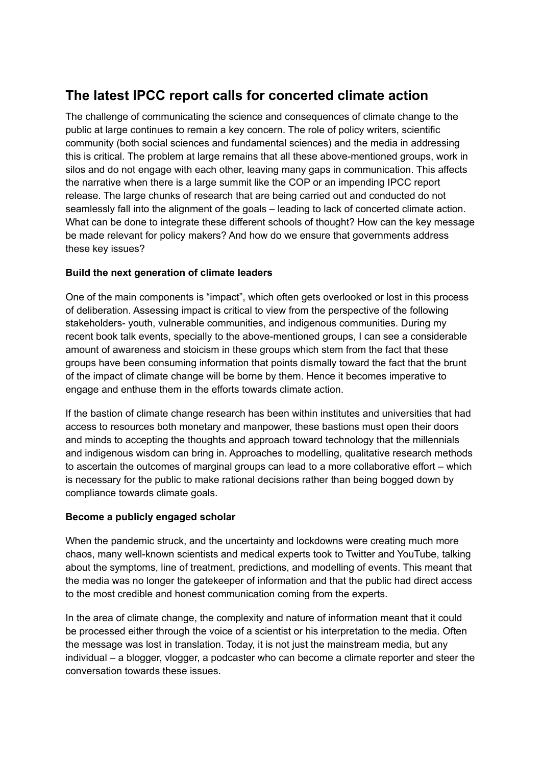## **The latest IPCC report calls for concerted climate action**

The challenge of communicating the science and consequences of climate change to the public at large continues to remain a key concern. The role of policy writers, scientific community (both social sciences and fundamental sciences) and the media in addressing this is critical. The problem at large remains that all these above-mentioned groups, work in silos and do not engage with each other, leaving many gaps in communication. This affects the narrative when there is a large summit like the COP or an impending IPCC report release. The large chunks of research that are being carried out and conducted do not seamlessly fall into the alignment of the goals – leading to lack of concerted climate action. What can be done to integrate these different schools of thought? How can the key message be made relevant for policy makers? And how do we ensure that governments address these key issues?

## **Build the next generation of climate leaders**

One of the main components is "impact", which often gets overlooked or lost in this process of deliberation. Assessing impact is critical to view from the perspective of the following stakeholders- youth, vulnerable communities, and indigenous communities. During my recent book talk events, specially to the above-mentioned groups, I can see a considerable amount of awareness and stoicism in these groups which stem from the fact that these groups have been consuming information that points dismally toward the fact that the brunt of the impact of climate change will be borne by them. Hence it becomes imperative to engage and enthuse them in the efforts towards climate action.

If the bastion of climate change research has been within institutes and universities that had access to resources both monetary and manpower, these bastions must open their doors and minds to accepting the thoughts and approach toward technology that the millennials and indigenous wisdom can bring in. Approaches to modelling, qualitative research methods to ascertain the outcomes of marginal groups can lead to a more collaborative effort – which is necessary for the public to make rational decisions rather than being bogged down by compliance towards climate goals.

## **Become a publicly engaged scholar**

When the pandemic struck, and the uncertainty and lockdowns were creating much more chaos, many well-known scientists and medical experts took to Twitter and YouTube, talking about the symptoms, line of treatment, predictions, and modelling of events. This meant that the media was no longer the gatekeeper of information and that the public had direct access to the most credible and honest communication coming from the experts.

In the area of climate change, the complexity and nature of information meant that it could be processed either through the voice of a scientist or his interpretation to the media. Often the message was lost in translation. Today, it is not just the mainstream media, but any individual – a blogger, vlogger, a podcaster who can become a climate reporter and steer the conversation towards these issues.